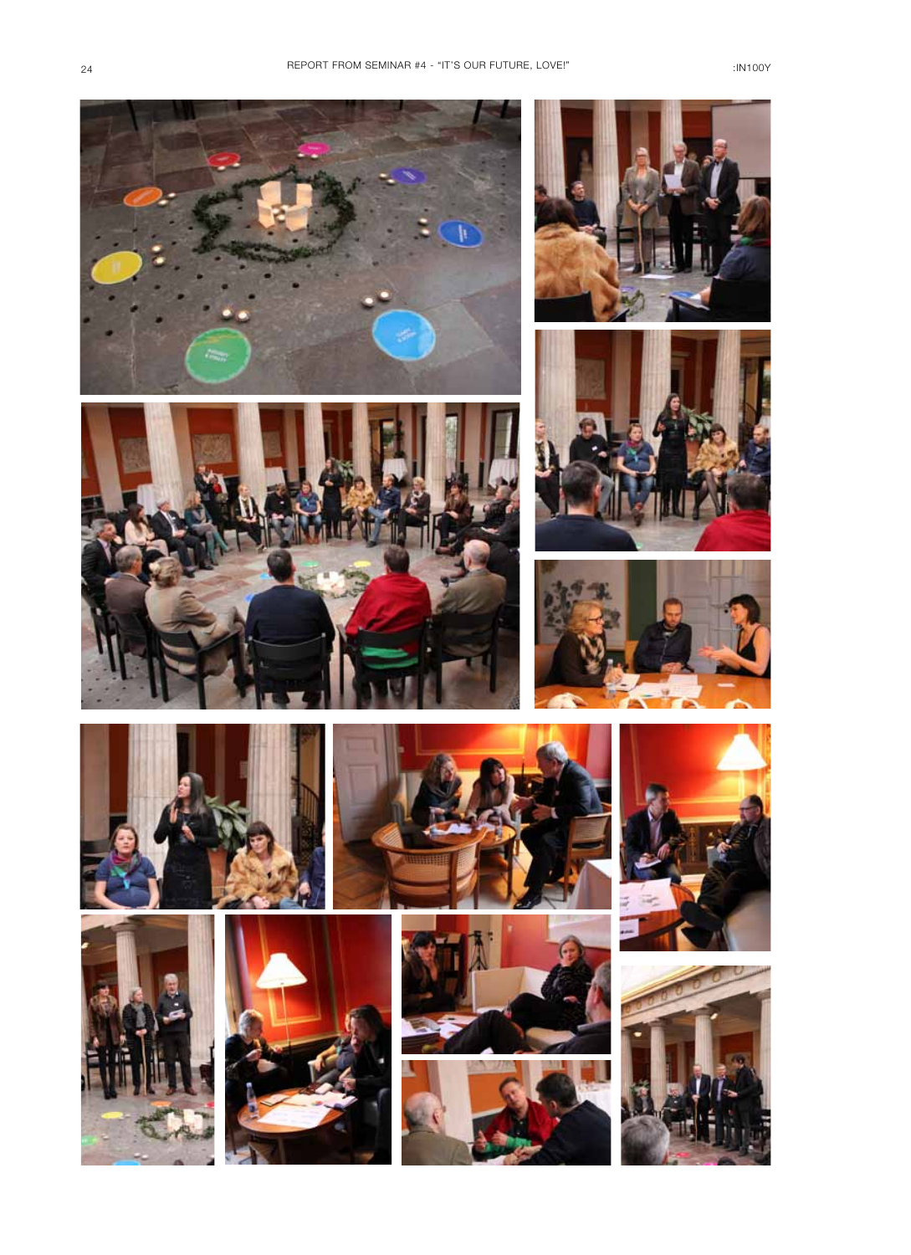















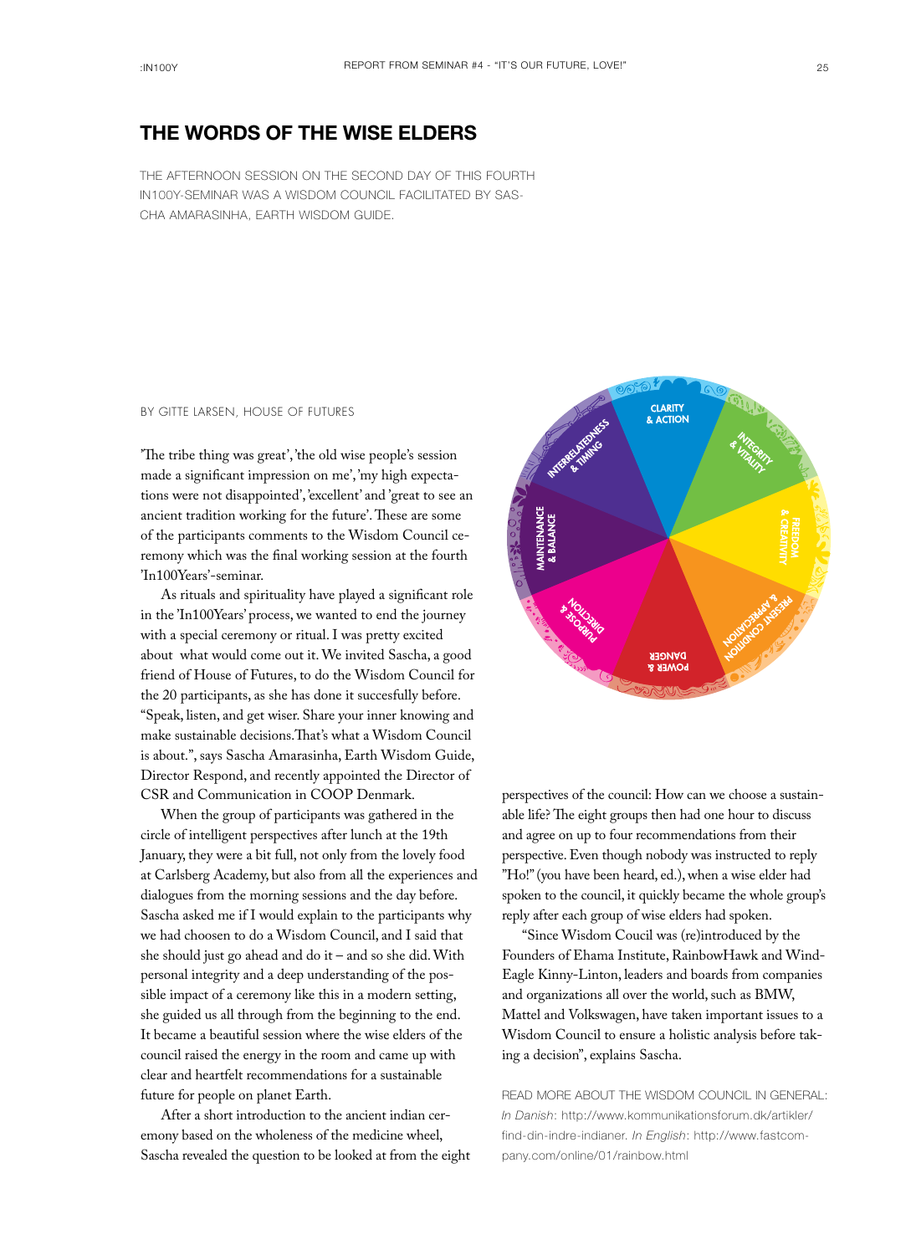# the words of the wise elders

the afternoon session on the second day of this fourth in100y-seminar was a wisdom council facilitated by sascha amarasinha, earth wisdom guide.

#### By Gitte Larsen, House of Futures

'The tribe thing was great', 'the old wise people's session made a significant impression on me', 'my high expectations were not disappointed', 'excellent' and 'great to see an ancient tradition working for the future'. These are some of the participants comments to the Wisdom Council ceremony which was the final working session at the fourth 'In100Years'-seminar.

As rituals and spirituality have played a significant role in the 'In100Years' process, we wanted to end the journey with a special ceremony or ritual. I was pretty excited about what would come out it. We invited Sascha, a good friend of House of Futures, to do the Wisdom Council for the 20 participants, as she has done it succesfully before. "Speak, listen, and get wiser. Share your inner knowing and make sustainable decisions.That's what a Wisdom Council is about.", says Sascha Amarasinha, Earth Wisdom Guide, Director Respond, and recently appointed the Director of CSR and Communication in COOP Denmark.

When the group of participants was gathered in the circle of intelligent perspectives after lunch at the 19th January, they were a bit full, not only from the lovely food at Carlsberg Academy, but also from all the experiences and dialogues from the morning sessions and the day before. Sascha asked me if I would explain to the participants why we had choosen to do a Wisdom Council, and I said that she should just go ahead and do it – and so she did. With personal integrity and a deep understanding of the possible impact of a ceremony like this in a modern setting, she guided us all through from the beginning to the end. It became a beautiful session where the wise elders of the council raised the energy in the room and came up with clear and heartfelt recommendations for a sustainable future for people on planet Earth.

After a short introduction to the ancient indian ceremony based on the wholeness of the medicine wheel, Sascha revealed the question to be looked at from the eight



perspectives of the council: How can we choose a sustainable life? The eight groups then had one hour to discuss and agree on up to four recommendations from their perspective. Even though nobody was instructed to reply "Ho!" (you have been heard, ed.), when a wise elder had spoken to the council, it quickly became the whole group's reply after each group of wise elders had spoken.

"Since Wisdom Coucil was (re)introduced by the Founders of Ehama Institute, RainbowHawk and Wind-Eagle Kinny-Linton, leaders and boards from companies and organizations all over the world, such as BMW, Mattel and Volkswagen, have taken important issues to a Wisdom Council to ensure a holistic analysis before taking a decision", explains Sascha.

Read more about the wisdom council in general: *In Danish*: http://www.kommunikationsforum.dk/artikler/ find-din-indre-indianer. *In English*: http://www.fastcompany.com/online/01/rainbow.html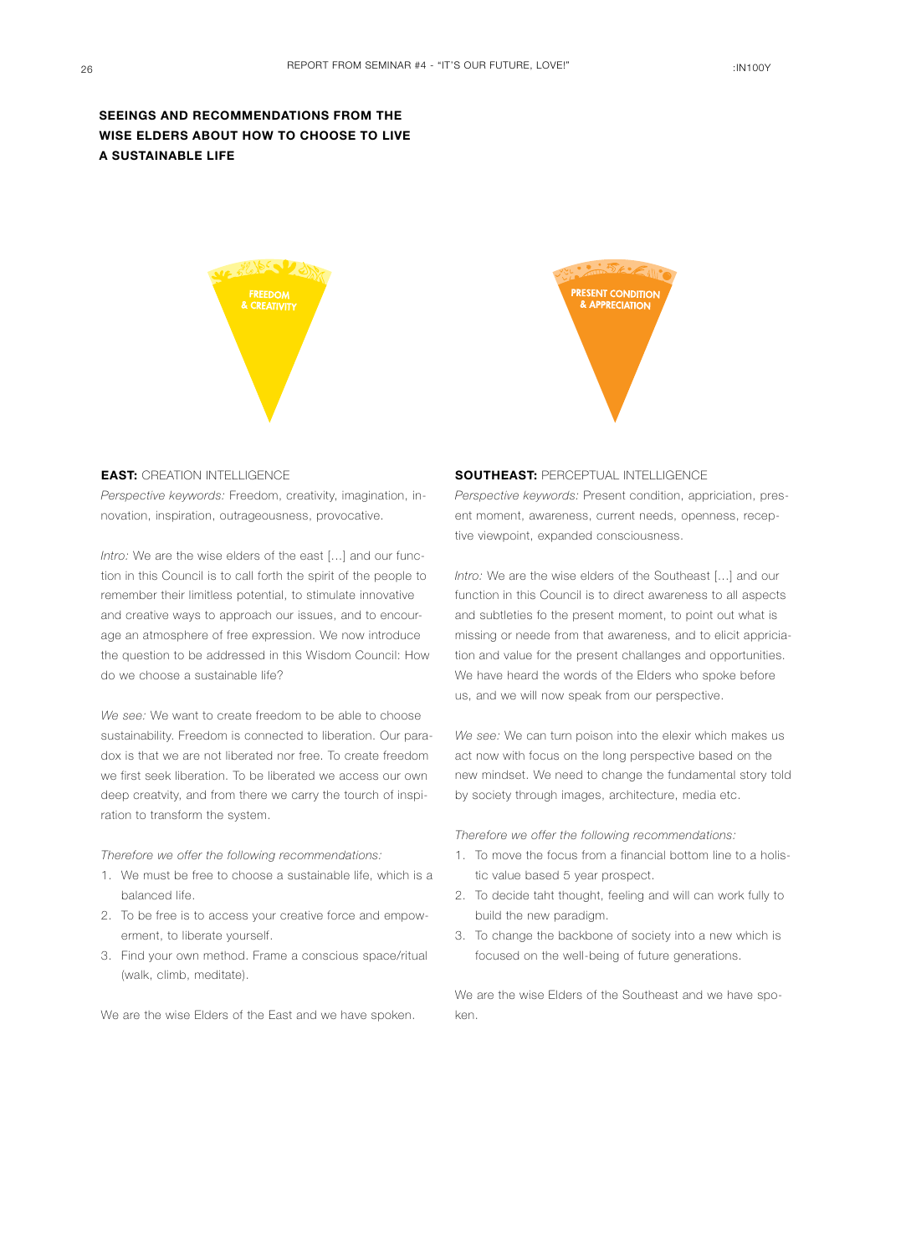# seeings and recommendations from the wise elders about how to choose to live a sustainable life





#### **EAST: CREATION INTELLIGENCE**

*Perspective keywords:* Freedom, creativity, imagination, innovation, inspiration, outrageousness, provocative.

*Intro:* We are the wise elders of the east [...] and our function in this Council is to call forth the spirit of the people to remember their limitless potential, to stimulate innovative and creative ways to approach our issues, and to encourage an atmosphere of free expression. We now introduce the question to be addressed in this Wisdom Council: How do we choose a sustainable life?

*We see:* We want to create freedom to be able to choose sustainability. Freedom is connected to liberation. Our paradox is that we are not liberated nor free. To create freedom we first seek liberation. To be liberated we access our own deep creatvity, and from there we carry the tourch of inspiration to transform the system.

#### *Therefore we offer the following recommendations:*

- 1. We must be free to choose a sustainable life, which is a balanced life.
- 2. To be free is to access your creative force and empowerment, to liberate yourself.
- 3. Find your own method. Frame a conscious space/ritual (walk, climb, meditate).

We are the wise Elders of the East and we have spoken.

## **SOUTHEAST: PERCEPTUAL INTELLIGENCE**

*Perspective keywords:* Present condition, appriciation, present moment, awareness, current needs, openness, receptive viewpoint, expanded consciousness.

*Intro:* We are the wise elders of the Southeast [...] and our function in this Council is to direct awareness to all aspects and subtleties fo the present moment, to point out what is missing or neede from that awareness, and to elicit appriciation and value for the present challanges and opportunities. We have heard the words of the Elders who spoke before us, and we will now speak from our perspective.

*We see:* We can turn poison into the elexir which makes us act now with focus on the long perspective based on the new mindset. We need to change the fundamental story told by society through images, architecture, media etc.

*Therefore we offer the following recommendations:*

- 1. To move the focus from a financial bottom line to a holistic value based 5 year prospect.
- 2. To decide taht thought, feeling and will can work fully to build the new paradigm.
- 3. To change the backbone of society into a new which is focused on the well-being of future generations.

We are the wise Elders of the Southeast and we have spoken.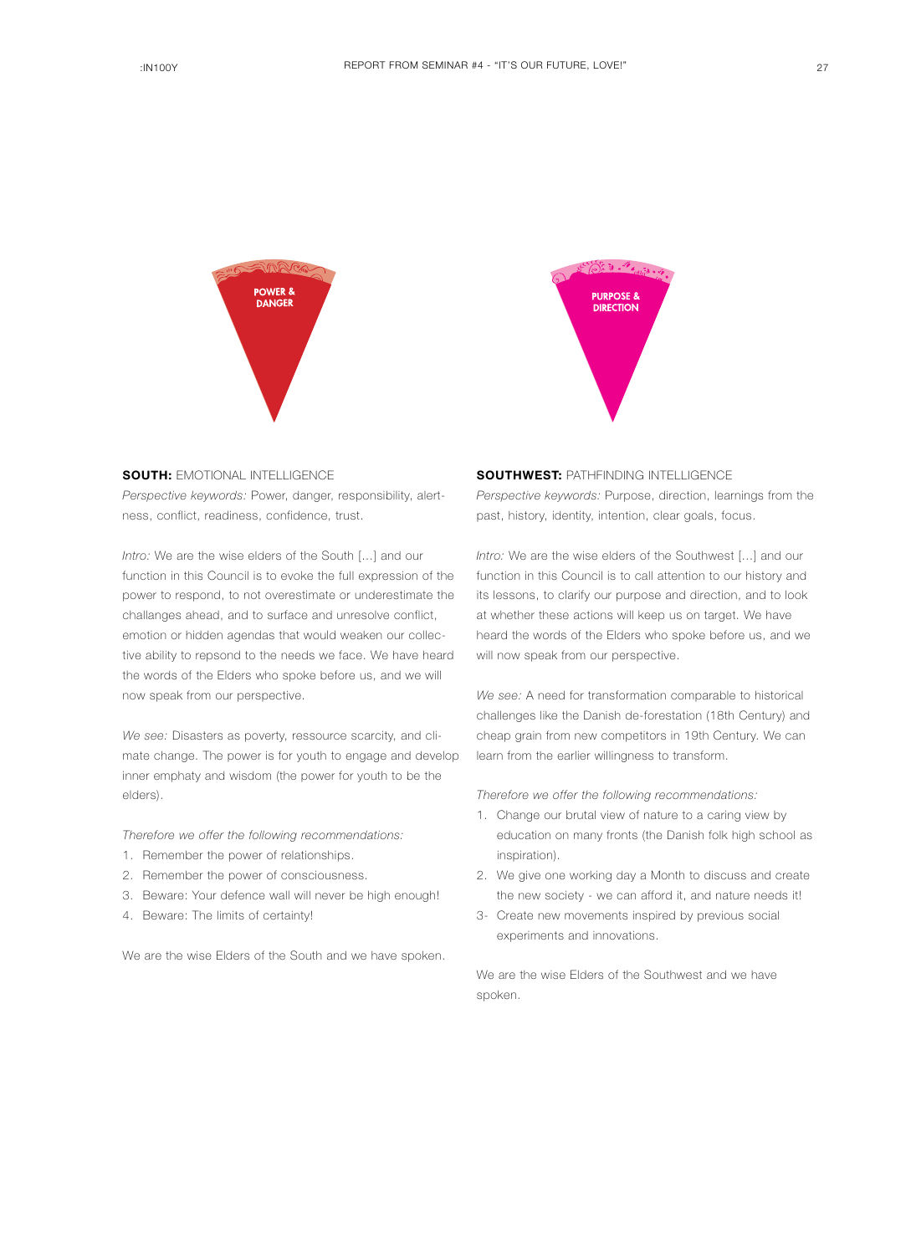



### SOUTH: EMOTIONAL INTELLIGENCE

*Perspective keywords:* Power, danger, responsibility, alertness, conflict, readiness, confidence, trust.

*Intro:* We are the wise elders of the South [...] and our function in this Council is to evoke the full expression of the power to respond, to not overestimate or underestimate the challanges ahead, and to surface and unresolve conflict, emotion or hidden agendas that would weaken our collective ability to repsond to the needs we face. We have heard the words of the Elders who spoke before us, and we will now speak from our perspective.

*We see:* Disasters as poverty, ressource scarcity, and climate change. The power is for youth to engage and develop inner emphaty and wisdom (the power for youth to be the elders).

*Therefore we offer the following recommendations:*

- 1. Remember the power of relationships.
- 2. Remember the power of consciousness.
- 3. Beware: Your defence wall will never be high enough!
- 4. Beware: The limits of certainty!

We are the wise Elders of the South and we have spoken.

# **SOUTHWEST: PATHFINDING INTELLIGENCE**

*Perspective keywords:* Purpose, direction, learnings from the past, history, identity, intention, clear goals, focus.

*Intro:* We are the wise elders of the Southwest [...] and our function in this Council is to call attention to our history and its lessons, to clarify our purpose and direction, and to look at whether these actions will keep us on target. We have heard the words of the Elders who spoke before us, and we will now speak from our perspective.

*We see:* A need for transformation comparable to historical challenges like the Danish de-forestation (18th Century) and cheap grain from new competitors in 19th Century. We can learn from the earlier willingness to transform.

*Therefore we offer the following recommendations:*

- 1. Change our brutal view of nature to a caring view by education on many fronts (the Danish folk high school as inspiration).
- 2. We give one working day a Month to discuss and create the new society - we can afford it, and nature needs it!
- 3- Create new movements inspired by previous social experiments and innovations.

We are the wise Elders of the Southwest and we have spoken.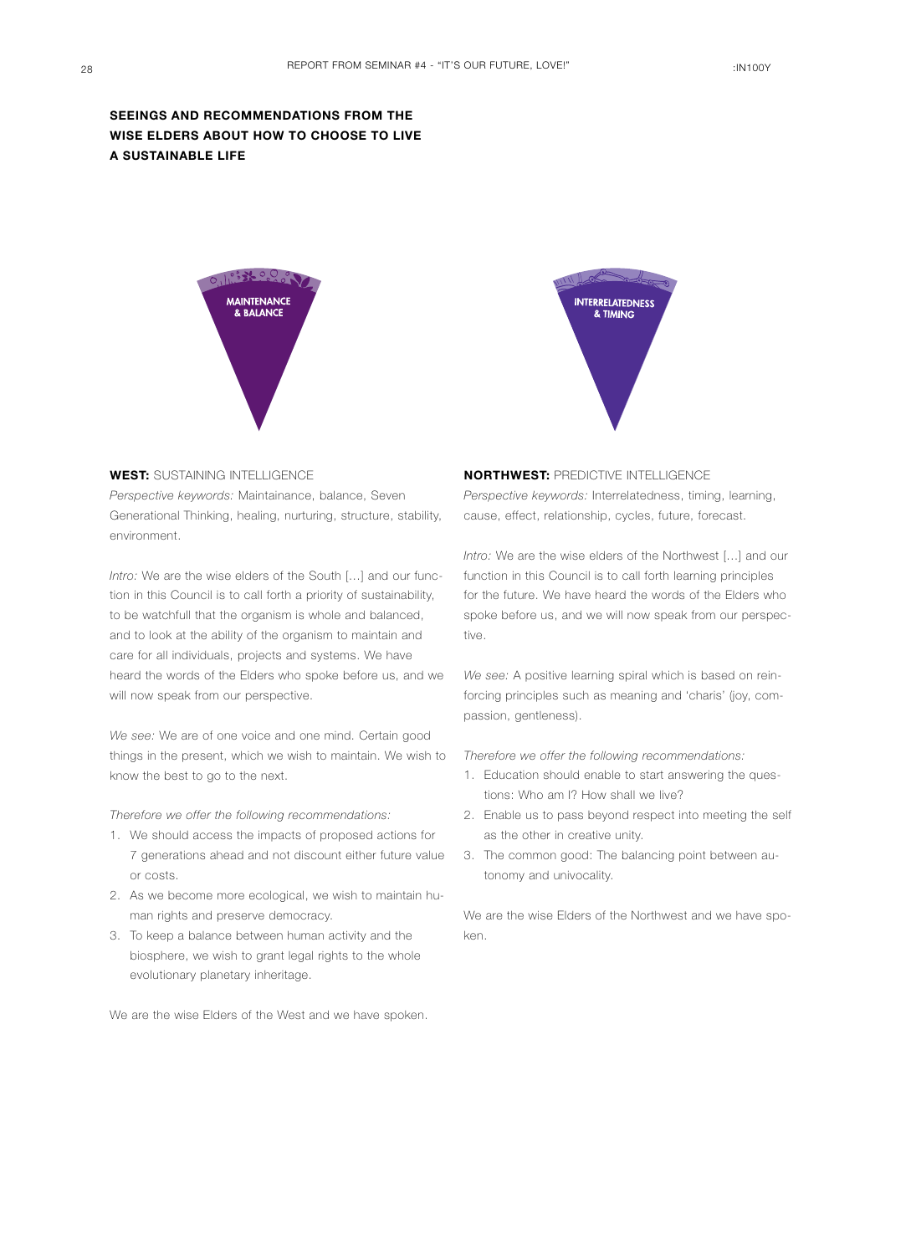# seeings and recommendations from the wise elders about how to choose to live a sustainable life

# **MAINTENANCE** & BALANCE



## west: sustaining intelligence

*Perspective keywords:* Maintainance, balance, Seven Generational Thinking, healing, nurturing, structure, stability, environment.

*Intro:* We are the wise elders of the South [...] and our function in this Council is to call forth a priority of sustainability, to be watchfull that the organism is whole and balanced, and to look at the ability of the organism to maintain and care for all individuals, projects and systems. We have heard the words of the Elders who spoke before us, and we will now speak from our perspective.

*We see:* We are of one voice and one mind. Certain good things in the present, which we wish to maintain. We wish to know the best to go to the next.

## *Therefore we offer the following recommendations:*

- 1. We should access the impacts of proposed actions for 7 generations ahead and not discount either future value or costs.
- 2. As we become more ecological, we wish to maintain human rights and preserve democracy.
- 3. To keep a balance between human activity and the biosphere, we wish to grant legal rights to the whole evolutionary planetary inheritage.

We are the wise Elders of the West and we have spoken.

## northwest: predictive intelligence *Perspective keywords:* Interrelatedness, timing, learning,

cause, effect, relationship, cycles, future, forecast.

*Intro:* We are the wise elders of the Northwest [...] and our function in this Council is to call forth learning principles for the future. We have heard the words of the Elders who spoke before us, and we will now speak from our perspective.

*We see:* A positive learning spiral which is based on reinforcing principles such as meaning and 'charis' (joy, compassion, gentleness).

*Therefore we offer the following recommendations:*

- 1. Education should enable to start answering the questions: Who am I? How shall we live?
- 2. Enable us to pass beyond respect into meeting the self as the other in creative unity.
- 3. The common good: The balancing point between autonomy and univocality.

We are the wise Elders of the Northwest and we have spoken.